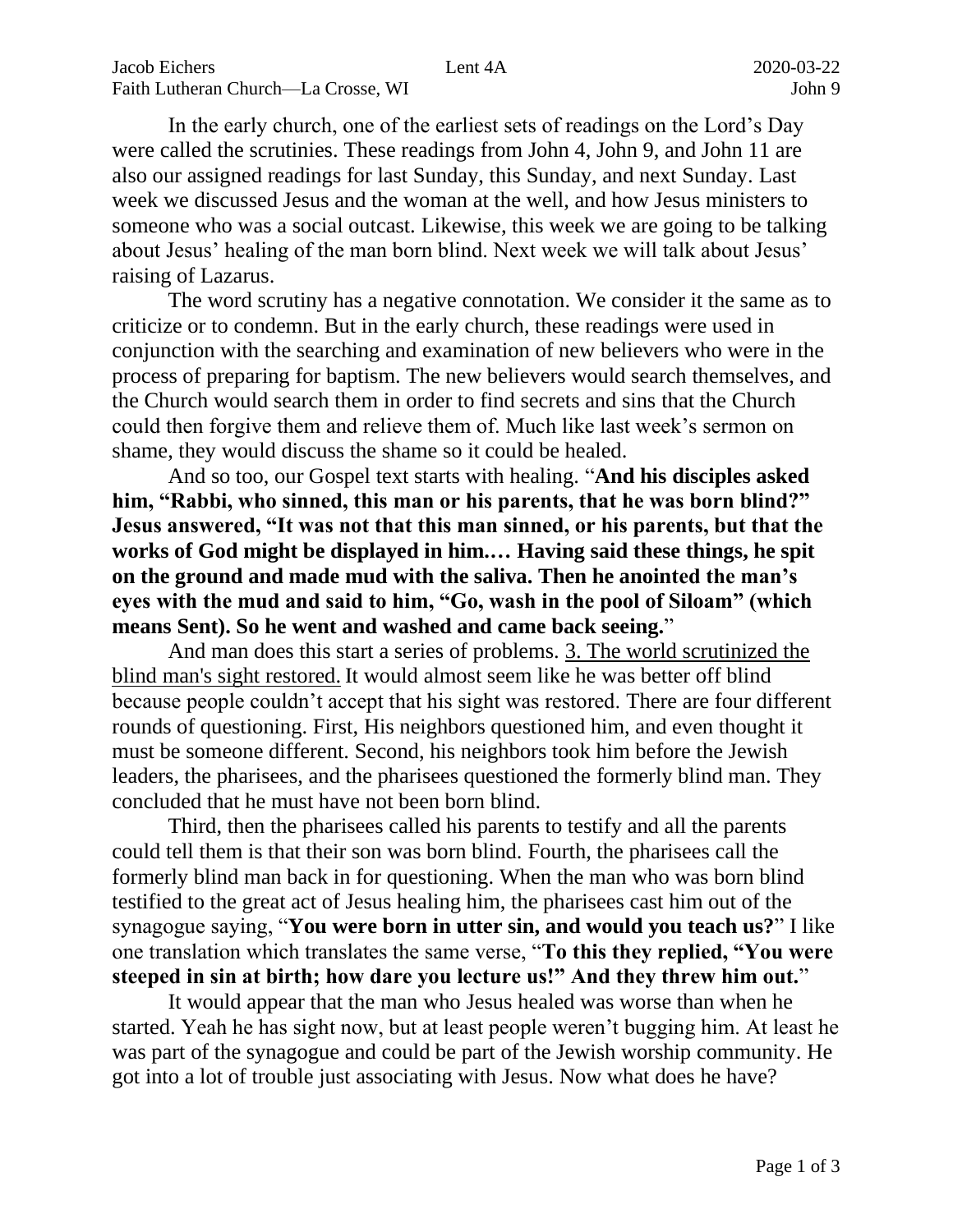In the early church, one of the earliest sets of readings on the Lord's Day were called the scrutinies. These readings from John 4, John 9, and John 11 are also our assigned readings for last Sunday, this Sunday, and next Sunday. Last week we discussed Jesus and the woman at the well, and how Jesus ministers to someone who was a social outcast. Likewise, this week we are going to be talking about Jesus' healing of the man born blind. Next week we will talk about Jesus' raising of Lazarus.

The word scrutiny has a negative connotation. We consider it the same as to criticize or to condemn. But in the early church, these readings were used in conjunction with the searching and examination of new believers who were in the process of preparing for baptism. The new believers would search themselves, and the Church would search them in order to find secrets and sins that the Church could then forgive them and relieve them of. Much like last week's sermon on shame, they would discuss the shame so it could be healed.

And so too, our Gospel text starts with healing. "**And his disciples asked him, "Rabbi, who sinned, this man or his parents, that he was born blind?" Jesus answered, "It was not that this man sinned, or his parents, but that the works of God might be displayed in him.… Having said these things, he spit on the ground and made mud with the saliva. Then he anointed the man's eyes with the mud and said to him, "Go, wash in the pool of Siloam" (which means Sent). So he went and washed and came back seeing.**"

And man does this start a series of problems. 3. The world scrutinized the blind man's sight restored. It would almost seem like he was better off blind because people couldn't accept that his sight was restored. There are four different rounds of questioning. First, His neighbors questioned him, and even thought it must be someone different. Second, his neighbors took him before the Jewish leaders, the pharisees, and the pharisees questioned the formerly blind man. They concluded that he must have not been born blind.

Third, then the pharisees called his parents to testify and all the parents could tell them is that their son was born blind. Fourth, the pharisees call the formerly blind man back in for questioning. When the man who was born blind testified to the great act of Jesus healing him, the pharisees cast him out of the synagogue saying, "**You were born in utter sin, and would you teach us?**" I like one translation which translates the same verse, "**To this they replied, "You were steeped in sin at birth; how dare you lecture us!" And they threw him out.**"

It would appear that the man who Jesus healed was worse than when he started. Yeah he has sight now, but at least people weren't bugging him. At least he was part of the synagogue and could be part of the Jewish worship community. He got into a lot of trouble just associating with Jesus. Now what does he have?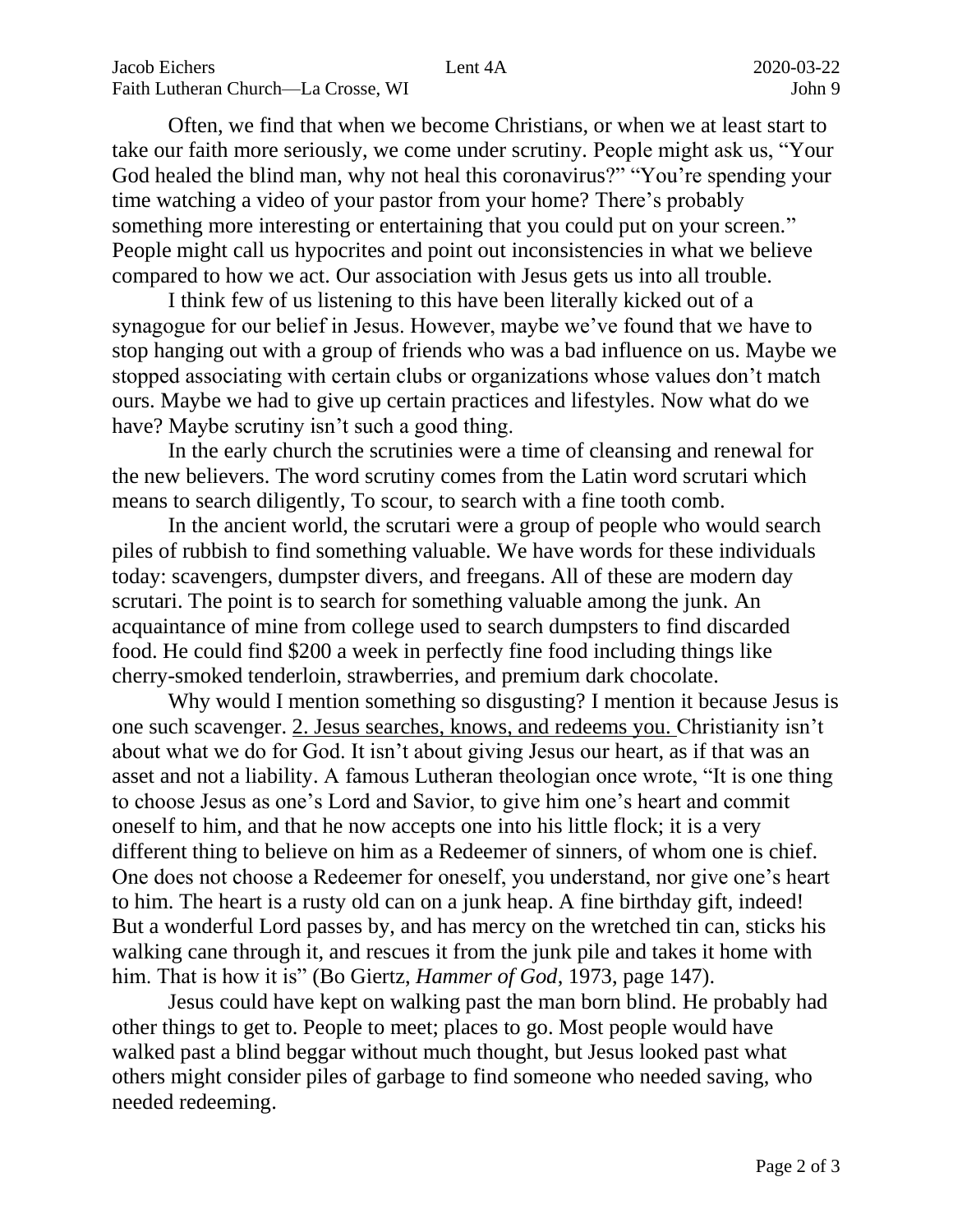Often, we find that when we become Christians, or when we at least start to take our faith more seriously, we come under scrutiny. People might ask us, "Your God healed the blind man, why not heal this coronavirus?" "You're spending your time watching a video of your pastor from your home? There's probably something more interesting or entertaining that you could put on your screen." People might call us hypocrites and point out inconsistencies in what we believe compared to how we act. Our association with Jesus gets us into all trouble.

I think few of us listening to this have been literally kicked out of a synagogue for our belief in Jesus. However, maybe we've found that we have to stop hanging out with a group of friends who was a bad influence on us. Maybe we stopped associating with certain clubs or organizations whose values don't match ours. Maybe we had to give up certain practices and lifestyles. Now what do we have? Maybe scrutiny isn't such a good thing.

In the early church the scrutinies were a time of cleansing and renewal for the new believers. The word scrutiny comes from the Latin word scrutari which means to search diligently, To scour, to search with a fine tooth comb.

In the ancient world, the scrutari were a group of people who would search piles of rubbish to find something valuable. We have words for these individuals today: scavengers, dumpster divers, and freegans. All of these are modern day scrutari. The point is to search for something valuable among the junk. An acquaintance of mine from college used to search dumpsters to find discarded food. He could find \$200 a week in perfectly fine food including things like cherry-smoked tenderloin, strawberries, and premium dark chocolate.

Why would I mention something so disgusting? I mention it because Jesus is one such scavenger. 2. Jesus searches, knows, and redeems you. Christianity isn't about what we do for God. It isn't about giving Jesus our heart, as if that was an asset and not a liability. A famous Lutheran theologian once wrote, "It is one thing to choose Jesus as one's Lord and Savior, to give him one's heart and commit oneself to him, and that he now accepts one into his little flock; it is a very different thing to believe on him as a Redeemer of sinners, of whom one is chief. One does not choose a Redeemer for oneself, you understand, nor give one's heart to him. The heart is a rusty old can on a junk heap. A fine birthday gift, indeed! But a wonderful Lord passes by, and has mercy on the wretched tin can, sticks his walking cane through it, and rescues it from the junk pile and takes it home with him. That is how it is" (Bo Giertz, *Hammer of God*, 1973, page 147).

Jesus could have kept on walking past the man born blind. He probably had other things to get to. People to meet; places to go. Most people would have walked past a blind beggar without much thought, but Jesus looked past what others might consider piles of garbage to find someone who needed saving, who needed redeeming.